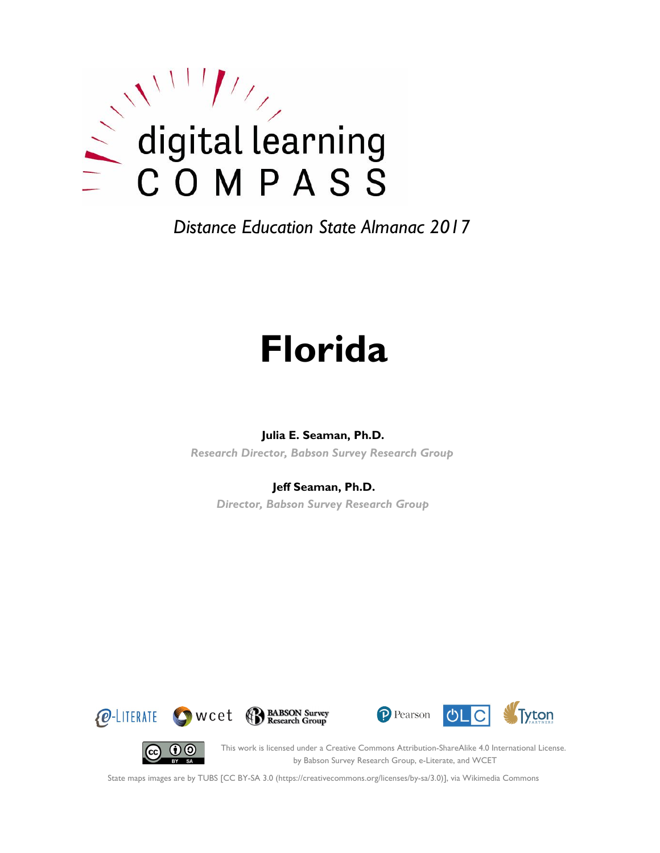

# **Florida**

#### **Julia E. Seaman, Ph.D.**

*Research Director, Babson Survey Research Group*

#### **Jeff Seaman, Ph.D.**

*Director, Babson Survey Research Group*









This work is licensed under a Creative Commons Attribution-ShareAlike 4.0 International License. by Babson Survey Research Group, e-Literate, and WCET

State maps images are by TUBS [CC BY-SA 3.0 (https://creativecommons.org/licenses/by-sa/3.0)], via Wikimedia Commons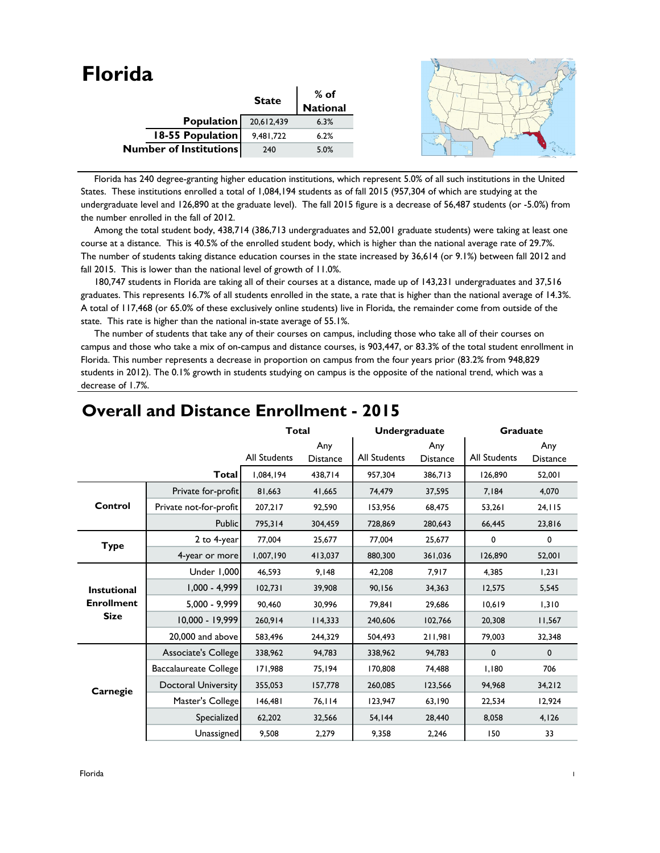| <b>Florida</b>                |              |                    |  |
|-------------------------------|--------------|--------------------|--|
|                               | <b>State</b> | $%$ of<br>National |  |
| <b>Population</b>             | 20,612,439   | 6.3%               |  |
| 18-55 Population              | 9,481,722    | 6.2%               |  |
| <b>Number of Institutions</b> | 240          | 5.0%               |  |
|                               |              |                    |  |

 Florida has 240 degree-granting higher education institutions, which represent 5.0% of all such institutions in the United States. These institutions enrolled a total of 1,084,194 students as of fall 2015 (957,304 of which are studying at the undergraduate level and 126,890 at the graduate level). The fall 2015 figure is a decrease of 56,487 students (or -5.0%) from the number enrolled in the fall of 2012.

Among the total student body, 438,714 (386,713 undergraduates and 52,001 graduate students) were taking at least one course at a distance. This is 40.5% of the enrolled student body, which is higher than the national average rate of 29.7%. The number of students taking distance education courses in the state increased by 36,614 (or 9.1%) between fall 2012 and fall 2015. This is lower than the national level of growth of 11.0%.

 180,747 students in Florida are taking all of their courses at a distance, made up of 143,231 undergraduates and 37,516 graduates. This represents 16.7% of all students enrolled in the state, a rate that is higher than the national average of 14.3%. A total of 117,468 (or 65.0% of these exclusively online students) live in Florida, the remainder come from outside of the state. This rate is higher than the national in-state average of 55.1%.

 The number of students that take any of their courses on campus, including those who take all of their courses on campus and those who take a mix of on-campus and distance courses, is 903,447, or 83.3% of the total student enrollment in Florida. This number represents a decrease in proportion on campus from the four years prior (83.2% from 948,829 students in 2012). The 0.1% growth in students studying on campus is the opposite of the national trend, which was a decrease of 1.7%.

|                    |                            | <b>Total</b>        |                        | <b>Undergraduate</b> |                        | <b>Graduate</b> |                        |
|--------------------|----------------------------|---------------------|------------------------|----------------------|------------------------|-----------------|------------------------|
|                    |                            | <b>All Students</b> | Any<br><b>Distance</b> | <b>All Students</b>  | Any<br><b>Distance</b> | All Students    | Any<br><b>Distance</b> |
|                    | Total                      | 1.084.194           | 438,714                | 957,304              | 386,713                | 126,890         | 52,001                 |
|                    | Private for-profit         | 81,663              | 41,665                 | 74,479               | 37,595                 | 7,184           | 4,070                  |
| Control            | Private not-for-profit     | 207,217             | 92,590                 | 153,956              | 68,475                 | 53,261          | 24, 115                |
|                    | <b>Public</b>              | 795,314             | 304,459                | 728,869              | 280,643                | 66,445          | 23,816                 |
| <b>Type</b>        | 2 to 4-year                | 77,004              | 25,677                 | 77,004               | 25,677                 | 0               | 0                      |
|                    | 4-year or more             | 1,007,190           | 413,037                | 880,300              | 361,036                | 126,890         | 52,001                 |
|                    | <b>Under 1,000</b>         | 46,593              | 9,148                  | 42,208               | 7,917                  | 4,385           | 1,231                  |
| <b>Instutional</b> | $1,000 - 4,999$            | 102,731             | 39,908                 | 90,156               | 34,363                 | 12,575          | 5,545                  |
| <b>Enrollment</b>  | $5,000 - 9,999$            | 90,460              | 30,996                 | 79,841               | 29,686                 | 10,619          | 1,310                  |
| <b>Size</b>        | 10,000 - 19,999            | 260,914             | 114,333                | 240,606              | 102,766                | 20,308          | 11,567                 |
|                    | 20,000 and above           | 583,496             | 244,329                | 504,493              | 211,981                | 79,003          | 32,348                 |
|                    | Associate's College        | 338,962             | 94,783                 | 338,962              | 94,783                 | 0               | $\mathbf 0$            |
|                    | Baccalaureate College      | 171,988             | 75,194                 | 170,808              | 74,488                 | 1,180           | 706                    |
| Carnegie           | <b>Doctoral University</b> | 355,053             | 157,778                | 260.085              | 123,566                | 94.968          | 34,212                 |
|                    | Master's College           | 146,481             | 76,114                 | 123.947              | 63,190                 | 22,534          | 12,924                 |
|                    | Specialized                | 62,202              | 32,566                 | 54,144               | 28,440                 | 8,058           | 4,126                  |
|                    | Unassigned                 | 9,508               | 2,279                  | 9,358                | 2,246                  | 150             | 33                     |

## **Overall and Distance Enrollment - 2015**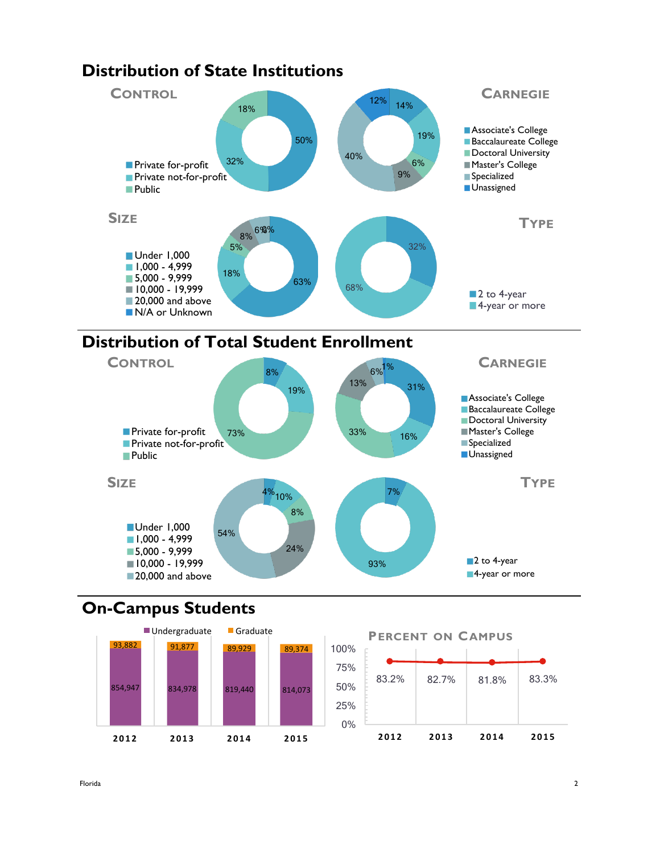

# **Distribution of Total Student Enrollment**



# **On-Campus Students**

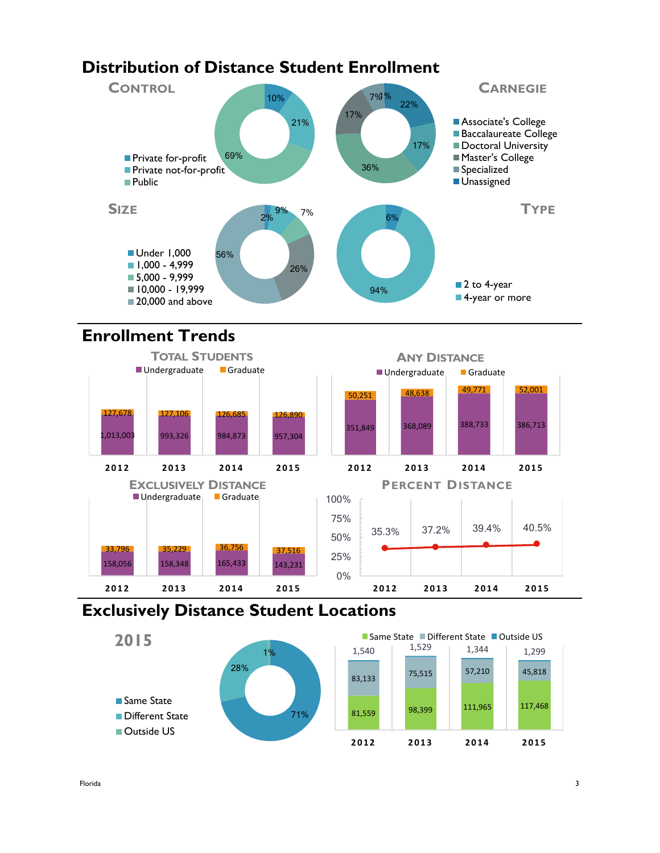#### **Distribution of Distance Student Enrollment** 10% 21% 69% **CONTROL Private for-profit Private not-for-profit** 22% 17% 36% 17% 7%1% **CARNEGIE Associate's College** Baccalaureate College Doctoral University ■ Master's College **Specialized**



# **Enrollment Trends**



# **Exclusively Distance Student Locations**